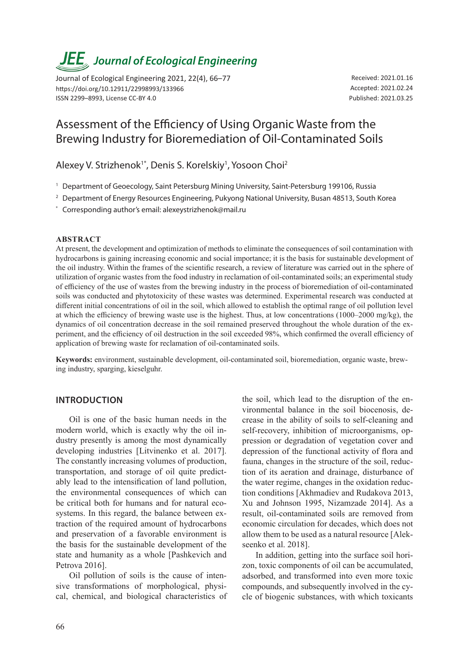# *JEE<sub>,</sub> Journal of Ecological Engineering*

Journal of Ecological Engineering 2021, 22(4), 66–77 https://doi.org/10.12911/22998993/133966 ISSN 2299–8993, License CC-BY 4.0

Received: 2021.01.16 Accepted: 2021.02.24 Published: 2021.03.25

# Assessment of the Efficiency of Using Organic Waste from the Brewing Industry for Bioremediation of Oil-Contaminated Soils

Alexey V. Strizhenok<sup>1\*</sup>, Denis S. Korelskiy<sup>1</sup>, Yosoon Choi<sup>2</sup>

- <sup>1</sup> Department of Geoecology, Saint Petersburg Mining University, Saint-Petersburg 199106, Russia
- <sup>2</sup> Department of Energy Resources Engineering, Pukyong National University, Busan 48513, South Korea
- \* Corresponding author's email: alexeystrizhenok@mail.ru

#### **ABSTRACT**

At present, the development and optimization of methods to eliminate the consequences of soil contamination with hydrocarbons is gaining increasing economic and social importance; it is the basis for sustainable development of the oil industry. Within the frames of the scientific research, a review of literature was carried out in the sphere of utilization of organic wastes from the food industry in reclamation of oil-contaminated soils; an experimental study of efficiency of the use of wastes from the brewing industry in the process of bioremediation of oil-contaminated soils was conducted and phytotoxicity of these wastes was determined. Experimental research was conducted at different initial concentrations of oil in the soil, which allowed to establish the optimal range of oil pollution level at which the efficiency of brewing waste use is the highest. Thus, at low concentrations (1000–2000 mg/kg), the dynamics of oil concentration decrease in the soil remained preserved throughout the whole duration of the experiment, and the efficiency of oil destruction in the soil exceeded 98%, which confirmed the overall efficiency of application of brewing waste for reclamation of oil-contaminated soils.

**Keywords:** environment, sustainable development, oil-contaminated soil, bioremediation, organic waste, brewing industry, sparging, kieselguhr.

#### **introduction**

Oil is one of the basic human needs in the modern world, which is exactly why the oil industry presently is among the most dynamically developing industries [Litvinenko et al. 2017]. The constantly increasing volumes of production, transportation, and storage of oil quite predictably lead to the intensification of land pollution, the environmental consequences of which can be critical both for humans and for natural ecosystems. In this regard, the balance between extraction of the required amount of hydrocarbons and preservation of a favorable environment is the basis for the sustainable development of the state and humanity as a whole [Pashkevich and Petrova 2016].

Oil pollution of soils is the cause of intensive transformations of morphological, physical, chemical, and biological characteristics of the soil, which lead to the disruption of the environmental balance in the soil biocenosis, decrease in the ability of soils to self-cleaning and self-recovery, inhibition of microorganisms, oppression or degradation of vegetation cover and depression of the functional activity of flora and fauna, changes in the structure of the soil, reduction of its aeration and drainage, disturbance of the water regime, changes in the oxidation reduction conditions [Akhmadiev and Rudakova 2013, Xu and Johnson 1995, Nizamzade 2014]. As a result, oil-contaminated soils are removed from economic circulation for decades, which does not allow them to be used as a natural resource [Alekseenko et al. 2018].

In addition, getting into the surface soil horizon, toxic components of oil can be accumulated, adsorbed, and transformed into even more toxic compounds, and subsequently involved in the cycle of biogenic substances, with which toxicants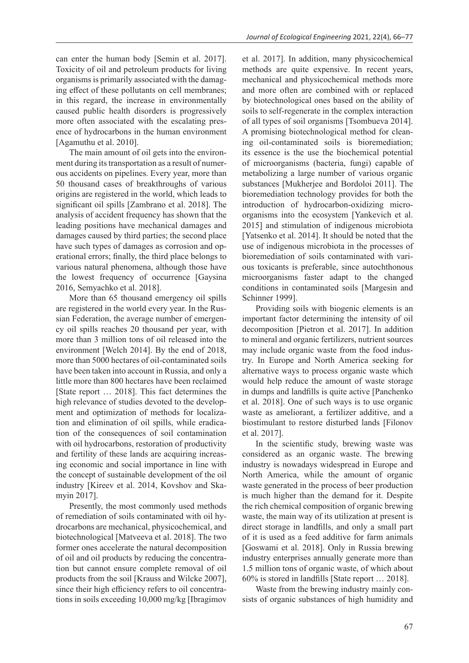can enter the human body [Semin et al. 2017]. Toxicity of oil and petroleum products for living organisms is primarily associated with the damaging effect of these pollutants on cell membranes; in this regard, the increase in environmentally caused public health disorders is progressively more often associated with the escalating presence of hydrocarbons in the human environment [Agamuthu et al. 2010].

The main amount of oil gets into the environment during its transportation as a result of numerous accidents on pipelines. Every year, more than 50 thousand cases of breakthroughs of various origins are registered in the world, which leads to significant oil spills [Zambrano et al. 2018]. The analysis of accident frequency has shown that the leading positions have mechanical damages and damages caused by third parties; the second place have such types of damages as corrosion and operational errors; finally, the third place belongs to various natural phenomena, although those have the lowest frequency of occurrence [Gaysina 2016, Semyachko et al. 2018].

More than 65 thousand emergency oil spills are registered in the world every year. In the Russian Federation, the average number of emergency oil spills reaches 20 thousand per year, with more than 3 million tons of oil released into the environment [Welch 2014]. By the end of 2018, more than 5000 hectares of oil-contaminated soils have been taken into account in Russia, and only a little more than 800 hectares have been reclaimed [State report … 2018]. This fact determines the high relevance of studies devoted to the development and optimization of methods for localization and elimination of oil spills, while eradication of the consequences of soil contamination with oil hydrocarbons, restoration of productivity and fertility of these lands are acquiring increasing economic and social importance in line with the concept of sustainable development of the oil industry [Kireev et al. 2014, Kovshov and Skamyin 2017].

Presently, the most commonly used methods of remediation of soils contaminated with oil hydrocarbons are mechanical, physicochemical, and biotechnological [Matveeva et al. 2018]. The two former ones accelerate the natural decomposition of oil and oil products by reducing the concentration but cannot ensure complete removal of oil products from the soil [Krauss and Wilcke 2007], since their high efficiency refers to oil concentrations in soils exceeding 10,000 mg/kg [Ibragimov et al. 2017]. In addition, many physicochemical methods are quite expensive. In recent years, mechanical and physicochemical methods more and more often are combined with or replaced by biotechnological ones based on the ability of soils to self-regenerate in the complex interaction of all types of soil organisms [Tsombueva 2014]. A promising biotechnological method for cleaning oil-contaminated soils is bioremediation; its essence is the use the biochemical potential of microorganisms (bacteria, fungi) capable of metabolizing a large number of various organic substances [Mukherjee and Bordoloi 2011]. The bioremediation technology provides for both the introduction of hydrocarbon-oxidizing microorganisms into the ecosystem [Yankevich et al. 2015] and stimulation of indigenous microbiota [Yatsenko et al. 2014]. It should be noted that the use of indigenous microbiota in the processes of bioremediation of soils contaminated with various toxicants is preferable, since autochthonous microorganisms faster adapt to the changed conditions in contaminated soils [Margesin and Schinner 1999].

Providing soils with biogenic elements is an important factor determining the intensity of oil decomposition [Pietron et al. 2017]. In addition to mineral and organic fertilizers, nutrient sources may include organic waste from the food industry. In Europe and North America seeking for alternative ways to process organic waste which would help reduce the amount of waste storage in dumps and landfills is quite active [Panchenko et al. 2018]. One of such ways is to use organic waste as ameliorant, a fertilizer additive, and a biostimulant to restore disturbed lands [Filonov et al. 2017].

In the scientific study, brewing waste was considered as an organic waste. The brewing industry is nowadays widespread in Europe and North America, while the amount of organic waste generated in the process of beer production is much higher than the demand for it. Despite the rich chemical composition of organic brewing waste, the main way of its utilization at present is direct storage in landfills, and only a small part of it is used as a feed additive for farm animals [Goswami et al. 2018]. Only in Russia brewing industry enterprises annually generate more than 1.5 million tons of organic waste, of which about 60% is stored in landfills [State report … 2018].

Waste from the brewing industry mainly consists of organic substances of high humidity and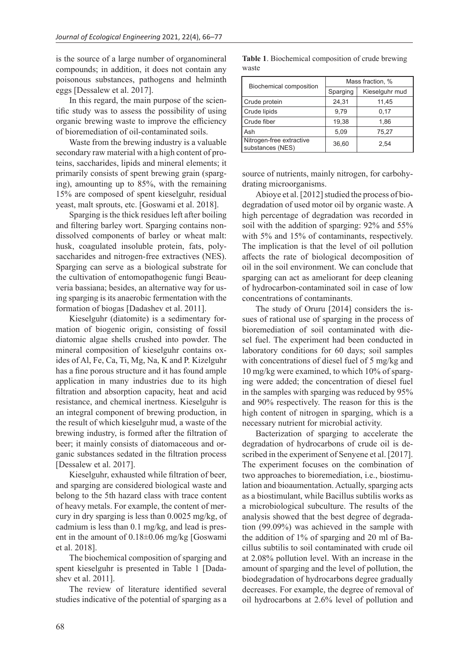is the source of a large number of organomineral compounds; in addition, it does not contain any poisonous substances, pathogens and helminth eggs [Dessalew et al. 2017].

In this regard, the main purpose of the scientific study was to assess the possibility of using organic brewing waste to improve the efficiency of bioremediation of oil-contaminated soils.

Waste from the brewing industry is a valuable secondary raw material with a high content of proteins, saccharides, lipids and mineral elements; it primarily consists of spent brewing grain (sparging), amounting up to 85%, with the remaining 15% are composed of spent kieselguhr, residual yeast, malt sprouts, etc. [Goswami et al. 2018].

Sparging is the thick residues left after boiling and filtering barley wort. Sparging contains nondissolved components of barley or wheat malt: husk, coagulated insoluble protein, fats, polysaccharides and nitrogen-free extractives (NES). Sparging can serve as a biological substrate for the cultivation of entomopathogenic fungi Beauveria bassiana; besides, an alternative way for using sparging is its anaerobic fermentation with the formation of biogas [Dadashev et al. 2011].

Kieselguhr (diatomite) is a sedimentary formation of biogenic origin, consisting of fossil diatomic algae shells crushed into powder. The mineral composition of kieselguhr contains oxides of Al, Fe, Ca, Ti, Mg, Na, K and P. Kizelguhr has a fine porous structure and it has found ample application in many industries due to its high filtration and absorption capacity, heat and acid resistance, and chemical inertness. Kieselguhr is an integral component of brewing production, in the result of which kieselguhr mud, a waste of the brewing industry, is formed after the filtration of beer; it mainly consists of diatomaceous and organic substances sedated in the filtration process [Dessalew et al. 2017].

Kieselguhr, exhausted while filtration of beer, and sparging are considered biological waste and belong to the 5th hazard class with trace content of heavy metals. For example, the content of mercury in dry sparging is less than 0.0025 mg/kg, of cadmium is less than 0.1 mg/kg, and lead is present in the amount of 0.18±0.06 mg/kg [Goswami et al. 2018].

The biochemical composition of sparging and spent kieselguhr is presented in Table 1 [Dadashev et al. 2011].

The review of literature identified several studies indicative of the potential of sparging as a

|                         | Mass fraction, % |                |  |  |
|-------------------------|------------------|----------------|--|--|
|                         | Sparging         | Kieselguhr mud |  |  |
| Crude protein           | 24.31            | 11.45          |  |  |
| Crude lipids            | 9.79             | 0.17           |  |  |
| Biochemical composition |                  |                |  |  |

Crude fiber 19,38 1,86 Ash 5,09 75,27

Nitrogen-free extractive <br>substances (NES) 36,60 2,54

Nitrogen-free extractive

**Table 1**. Biochemical composition of crude brewing waste

source of nutrients, mainly nitrogen, for carbohydrating microorganisms.

Abioye et al. [2012] studied the process of biodegradation of used motor oil by organic waste. A high percentage of degradation was recorded in soil with the addition of sparging: 92% and 55% with 5% and 15% of contaminants, respectively. The implication is that the level of oil pollution affects the rate of biological decomposition of oil in the soil environment. We can conclude that sparging can act as ameliorant for deep cleaning of hydrocarbon-contaminated soil in case of low concentrations of contaminants.

The study of Oruru [2014] considers the issues of rational use of sparging in the process of bioremediation of soil contaminated with diesel fuel. The experiment had been conducted in laboratory conditions for 60 days; soil samples with concentrations of diesel fuel of 5 mg/kg and 10 mg/kg were examined, to which 10% of sparging were added; the concentration of diesel fuel in the samples with sparging was reduced by 95% and 90% respectively. The reason for this is the high content of nitrogen in sparging, which is a necessary nutrient for microbial activity.

Bacterization of sparging to accelerate the degradation of hydrocarbons of crude oil is described in the experiment of Senyene et al. [2017]. The experiment focuses on the combination of two approaches to bioremediation, i.e., biostimulation and bioaumentation. Actually, sparging acts as a biostimulant, while Bacillus subtilis works as a microbiological subculture. The results of the analysis showed that the best degree of degradation (99.09%) was achieved in the sample with the addition of 1% of sparging and 20 ml of Bacillus subtilis to soil contaminated with crude oil at 2.08% pollution level. With an increase in the amount of sparging and the level of pollution, the biodegradation of hydrocarbons degree gradually decreases. For example, the degree of removal of oil hydrocarbons at 2.6% level of pollution and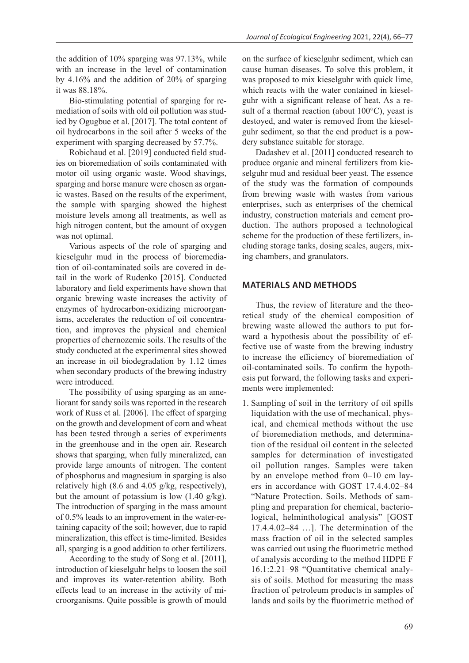the addition of 10% sparging was 97.13%, while with an increase in the level of contamination by 4.16% and the addition of 20% of sparging it was 88.18%.

Bio-stimulating potential of sparging for remediation of soils with old oil pollution was studied by Ogugbue et al. [2017]. The total content of oil hydrocarbons in the soil after 5 weeks of the experiment with sparging decreased by 57.7%.

Robichaud et al. [2019] conducted field studies on bioremediation of soils contaminated with motor oil using organic waste. Wood shavings, sparging and horse manure were chosen as organic wastes. Based on the results of the experiment, the sample with sparging showed the highest moisture levels among all treatments, as well as high nitrogen content, but the amount of oxygen was not optimal.

Various aspects of the role of sparging and kieselguhr mud in the process of bioremediation of oil-contaminated soils are covered in detail in the work of Rudenko [2015]. Conducted laboratory and field experiments have shown that organic brewing waste increases the activity of enzymes of hydrocarbon-oxidizing microorganisms, accelerates the reduction of oil concentration, and improves the physical and chemical properties of chernozemic soils. The results of the study conducted at the experimental sites showed an increase in oil biodegradation by 1.12 times when secondary products of the brewing industry were introduced.

The possibility of using sparging as an ameliorant for sandy soils was reported in the research work of Russ et al. [2006]. The effect of sparging on the growth and development of corn and wheat has been tested through a series of experiments in the greenhouse and in the open air. Research shows that sparging, when fully mineralized, can provide large amounts of nitrogen. The content of phosphorus and magnesium in sparging is also relatively high (8.6 and 4.05 g/kg, respectively), but the amount of potassium is low  $(1.40 \text{ g/kg})$ . The introduction of sparging in the mass amount of 0.5% leads to an improvement in the water-retaining capacity of the soil; however, due to rapid mineralization, this effect is time-limited. Besides all, sparging is a good addition to other fertilizers.

According to the study of Song et al. [2011], introduction of kieselguhr helps to loosen the soil and improves its water-retention ability. Both effects lead to an increase in the activity of microorganisms. Quite possible is growth of mould on the surface of kieselguhr sediment, which can cause human diseases. To solve this problem, it was proposed to mix kieselguhr with quick lime, which reacts with the water contained in kieselguhr with a significant release of heat. As a result of a thermal reaction (about 100°C), yeast is destoyed, and water is removed from the kieselguhr sediment, so that the end product is a powdery substance suitable for storage.

Dadashev et al. [2011] conducted research to produce organic and mineral fertilizers from kieselguhr mud and residual beer yeast. The essence of the study was the formation of compounds from brewing waste with wastes from various enterprises, such as enterprises of the chemical industry, construction materials and cement production. The authors proposed a technological scheme for the production of these fertilizers, including storage tanks, dosing scales, augers, mixing chambers, and granulators.

#### **materials and methods**

Thus, the review of literature and the theoretical study of the chemical composition of brewing waste allowed the authors to put forward a hypothesis about the possibility of effective use of waste from the brewing industry to increase the efficiency of bioremediation of oil-contaminated soils. To confirm the hypothesis put forward, the following tasks and experiments were implemented:

1. Sampling of soil in the territory of oil spills liquidation with the use of mechanical, physical, and chemical methods without the use of bioremediation methods, and determination of the residual oil content in the selected samples for determination of investigated oil pollution ranges. Samples were taken by an envelope method from 0–10 cm layers in accordance with GOST 17.4.4.02–84 "Nature Protection. Soils. Methods of sampling and preparation for chemical, bacteriological, helminthological analysis" [GOST 17.4.4.02–84 …]. The determination of the mass fraction of oil in the selected samples was carried out using the fluorimetric method of analysis according to the method HDPE F 16.1:2.21–98 "Quantitative chemical analysis of soils. Method for measuring the mass fraction of petroleum products in samples of lands and soils by the fluorimetric method of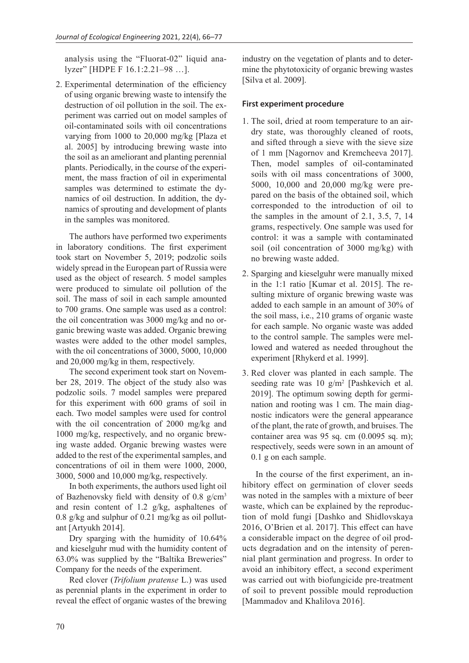analysis using the "Fluorat-02" liquid analyzer" [HDPE F 16.1:2.21–98 …].

2. Experimental determination of the efficiency of using organic brewing waste to intensify the destruction of oil pollution in the soil. The experiment was carried out on model samples of oil-contaminated soils with oil concentrations varying from 1000 to 20,000 mg/kg [Plaza et al. 2005] by introducing brewing waste into the soil as an ameliorant and planting perennial plants. Periodically, in the course of the experiment, the mass fraction of oil in experimental samples was determined to estimate the dynamics of oil destruction. In addition, the dynamics of sprouting and development of plants in the samples was monitored.

The authors have performed two experiments in laboratory conditions. The first experiment took start on November 5, 2019; podzolic soils widely spread in the European part of Russia were used as the object of research. 5 model samples were produced to simulate oil pollution of the soil. The mass of soil in each sample amounted to 700 grams. One sample was used as a control: the oil concentration was 3000 mg/kg and no organic brewing waste was added. Organic brewing wastes were added to the other model samples, with the oil concentrations of 3000, 5000, 10,000 and 20,000 mg/kg in them, respectively.

The second experiment took start on November 28, 2019. The object of the study also was podzolic soils. 7 model samples were prepared for this experiment with 600 grams of soil in each. Two model samples were used for control with the oil concentration of 2000 mg/kg and 1000 mg/kg, respectively, and no organic brewing waste added. Organic brewing wastes were added to the rest of the experimental samples, and concentrations of oil in them were 1000, 2000, 3000, 5000 and 10,000 mg/kg, respectively.

In both experiments, the authors used light oil of Bazhenovsky field with density of 0.8  $g/cm<sup>3</sup>$ and resin content of 1.2 g/kg, asphaltenes of 0.8 g/kg and sulphur of 0.21 mg/kg as oil pollutant [Artyukh 2014].

Dry sparging with the humidity of 10.64% and kieselguhr mud with the humidity content of 63.0% was supplied by the "Baltika Breweries" Company for the needs of the experiment.

Red clover (*Trifolium pratense* L.) was used as perennial plants in the experiment in order to reveal the effect of organic wastes of the brewing industry on the vegetation of plants and to determine the phytotoxicity of organic brewing wastes [Silva et al. 2009].

## **First experiment procedure**

- 1. The soil, dried at room temperature to an airdry state, was thoroughly cleaned of roots, and sifted through a sieve with the sieve size of 1 mm [Nagornov and Kremcheeva 2017]. Then, model samples of oil-contaminated soils with oil mass concentrations of 3000, 5000, 10,000 and 20,000 mg/kg were prepared on the basis of the obtained soil, which corresponded to the introduction of oil to the samples in the amount of 2.1, 3.5, 7, 14 grams, respectively. One sample was used for control: it was a sample with contaminated soil (oil concentration of 3000 mg/kg) with no brewing waste added.
- 2. Sparging and kieselguhr were manually mixed in the 1:1 ratio [Kumar et al. 2015]. The resulting mixture of organic brewing waste was added to each sample in an amount of 30% of the soil mass, i.e., 210 grams of organic waste for each sample. No organic waste was added to the control sample. The samples were mellowed and watered as needed throughout the experiment [Rhykerd et al. 1999].
- 3. Red clover was planted in each sample. The seeding rate was 10  $g/m^2$  [Pashkevich et al. 2019]. The optimum sowing depth for germination and rooting was 1 cm. The main diagnostic indicators were the general appearance of the plant, the rate of growth, and bruises. The container area was 95 sq. cm (0.0095 sq. m); respectively, seeds were sown in an amount of 0.1 g on each sample.

In the course of the first experiment, an inhibitory effect on germination of clover seeds was noted in the samples with a mixture of beer waste, which can be explained by the reproduction of mold fungi [Dashko and Shidlovskaya 2016, O'Brien et al. 2017]. This effect can have a considerable impact on the degree of oil products degradation and on the intensity of perennial plant germination and progress. In order to avoid an inhibitory effect, a second experiment was carried out with biofungicide pre-treatment of soil to prevent possible mould reproduction [Mammadov and Khalilova 2016].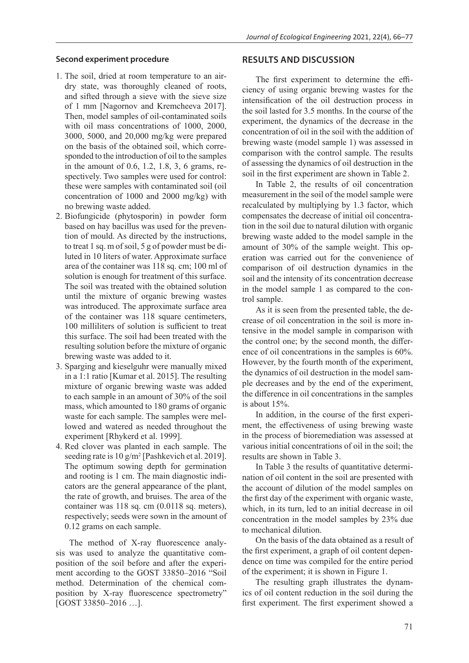#### **Second experiment procedure**

- 1. The soil, dried at room temperature to an airdry state, was thoroughly cleaned of roots, and sifted through a sieve with the sieve size of 1 mm [Nagornov and Kremcheeva 2017]. Then, model samples of oil-contaminated soils with oil mass concentrations of 1000, 2000, 3000, 5000, and 20,000 mg/kg were prepared on the basis of the obtained soil, which corresponded to the introduction of oil to the samples in the amount of 0.6, 1.2, 1.8, 3, 6 grams, respectively. Two samples were used for control: these were samples with contaminated soil (oil concentration of 1000 and 2000 mg/kg) with no brewing waste added.
- 2. Biofungicide (phytosporin) in powder form based on hay bacillus was used for the prevention of mould. As directed by the instructions, to treat 1 sq. m of soil, 5 g of powder must be diluted in 10 liters of water. Approximate surface area of the container was 118 sq. cm; 100 ml of solution is enough for treatment of this surface. The soil was treated with the obtained solution until the mixture of organic brewing wastes was introduced. The approximate surface area of the container was 118 square centimeters, 100 milliliters of solution is sufficient to treat this surface. The soil had been treated with the resulting solution before the mixture of organic brewing waste was added to it.
- 3. Sparging and kieselguhr were manually mixed in a 1:1 ratio [Kumar et al. 2015]. The resulting mixture of organic brewing waste was added to each sample in an amount of 30% of the soil mass, which amounted to 180 grams of organic waste for each sample. The samples were mellowed and watered as needed throughout the experiment [Rhykerd et al. 1999].
- 4. Red clover was planted in each sample. The seeding rate is  $10 \text{ g/m}^2$  [Pashkevich et al. 2019]. The optimum sowing depth for germination and rooting is 1 cm. The main diagnostic indicators are the general appearance of the plant, the rate of growth, and bruises. The area of the container was 118 sq. cm (0.0118 sq. meters), respectively; seeds were sown in the amount of 0.12 grams on each sample.

The method of X-ray fluorescence analysis was used to analyze the quantitative composition of the soil before and after the experiment according to the GOST 33850–2016 "Soil method. Determination of the chemical composition by X-ray fluorescence spectrometry" [GOST 33850–2016 …].

## **results and discussion**

The first experiment to determine the efficiency of using organic brewing wastes for the intensification of the oil destruction process in the soil lasted for 3.5 months. In the course of the experiment, the dynamics of the decrease in the concentration of oil in the soil with the addition of brewing waste (model sample 1) was assessed in comparison with the control sample. The results of assessing the dynamics of oil destruction in the soil in the first experiment are shown in Table 2.

In Table 2, the results of oil concentration measurement in the soil of the model sample were recalculated by multiplying by 1.3 factor, which compensates the decrease of initial oil concentration in the soil due to natural dilution with organic brewing waste added to the model sample in the amount of 30% of the sample weight. This operation was carried out for the convenience of comparison of oil destruction dynamics in the soil and the intensity of its concentration decrease in the model sample 1 as compared to the control sample.

As it is seen from the presented table, the decrease of oil concentration in the soil is more intensive in the model sample in comparison with the control one; by the second month, the difference of oil concentrations in the samples is 60%. However, by the fourth month of the experiment, the dynamics of oil destruction in the model sample decreases and by the end of the experiment, the difference in oil concentrations in the samples is about 15%.

In addition, in the course of the first experiment, the effectiveness of using brewing waste in the process of bioremediation was assessed at various initial concentrations of oil in the soil; the results are shown in Table 3.

In Table 3 the results of quantitative determination of oil content in the soil are presented with the account of dilution of the model samples on the first day of the experiment with organic waste, which, in its turn, led to an initial decrease in oil concentration in the model samples by 23% due to mechanical dilution.

On the basis of the data obtained as a result of the first experiment, a graph of oil content dependence on time was compiled for the entire period of the experiment; it is shown in Figure 1.

The resulting graph illustrates the dynamics of oil content reduction in the soil during the first experiment. The first experiment showed a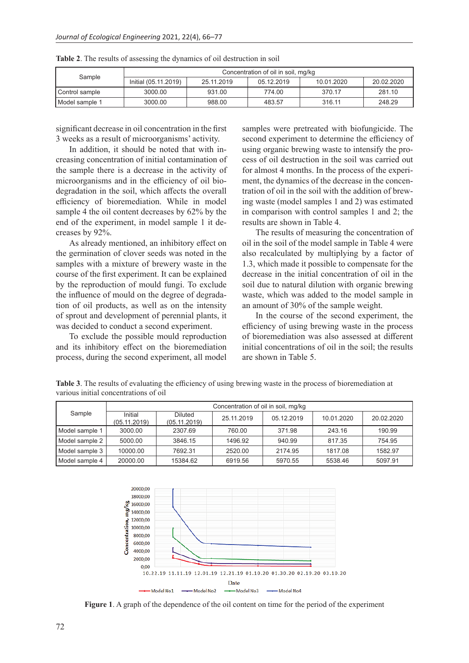|                  | Concentration of oil in soil, mg/kg |            |            |            |            |  |  |  |
|------------------|-------------------------------------|------------|------------|------------|------------|--|--|--|
| Sample           | Initial (05.11.2019)                | 25.11.2019 | 05.12.2019 | 10.01.2020 | 20.02.2020 |  |  |  |
| Control sample   | 3000.00                             | 931.00     | 774.00     | 370.17     | 281.10     |  |  |  |
| I Model sample 1 | 3000.00                             | 988.00     | 483.57     | 316.11     | 248.29     |  |  |  |

**Table 2**. The results of assessing the dynamics of oil destruction in soil

significant decrease in oil concentration in the first 3 weeks as a result of microorganisms' activity.

In addition, it should be noted that with increasing concentration of initial contamination of the sample there is a decrease in the activity of microorganisms and in the efficiency of oil biodegradation in the soil, which affects the overall efficiency of bioremediation. While in model sample 4 the oil content decreases by 62% by the end of the experiment, in model sample 1 it decreases by 92%.

As already mentioned, an inhibitory effect on the germination of clover seeds was noted in the samples with a mixture of brewery waste in the course of the first experiment. It can be explained by the reproduction of mould fungi. To exclude the influence of mould on the degree of degradation of oil products, as well as on the intensity of sprout and development of perennial plants, it was decided to conduct a second experiment.

To exclude the possible mould reproduction and its inhibitory effect on the bioremediation process, during the second experiment, all model

samples were pretreated with biofungicide. The second experiment to determine the efficiency of using organic brewing waste to intensify the process of oil destruction in the soil was carried out for almost 4 months. In the process of the experiment, the dynamics of the decrease in the concentration of oil in the soil with the addition of brewing waste (model samples 1 and 2) was estimated in comparison with control samples 1 and 2; the results are shown in Table 4.

The results of measuring the concentration of oil in the soil of the model sample in Table 4 were also recalculated by multiplying by a factor of 1.3, which made it possible to compensate for the decrease in the initial concentration of oil in the soil due to natural dilution with organic brewing waste, which was added to the model sample in an amount of 30% of the sample weight.

In the course of the second experiment, the efficiency of using brewing waste in the process of bioremediation was also assessed at different initial concentrations of oil in the soil; the results are shown in Table 5.

**Table 3**. The results of evaluating the efficiency of using brewing waste in the process of bioremediation at various initial concentrations of oil

|                | Concentration of oil in soil, mg/kg |                         |            |            |            |            |  |
|----------------|-------------------------------------|-------------------------|------------|------------|------------|------------|--|
| Sample         | Initial<br>(05.11.2019)             | Diluted<br>(05.11.2019) | 25.11.2019 | 05.12.2019 | 10.01.2020 | 20.02.2020 |  |
| Model sample 1 | 3000.00                             | 2307.69                 | 760.00     | 371.98     | 243.16     | 190.99     |  |
| Model sample 2 | 5000.00                             | 3846.15                 | 1496.92    | 940.99     | 817.35     | 754.95     |  |
| Model sample 3 | 10000.00                            | 7692.31                 | 2520.00    | 2174.95    | 1817.08    | 1582.97    |  |
| Model sample 4 | 20000.00                            | 15384.62                | 6919.56    | 5970.55    | 5538.46    | 5097.91    |  |



**Figure 1**. A graph of the dependence of the oil content on time for the period of the experiment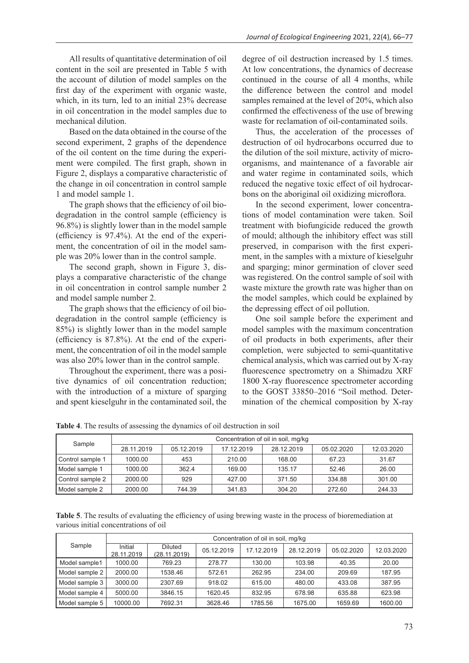All results of quantitative determination of oil content in the soil are presented in Table 5 with the account of dilution of model samples on the first day of the experiment with organic waste, which, in its turn, led to an initial 23% decrease in oil concentration in the model samples due to mechanical dilution.

Based on the data obtained in the course of the second experiment, 2 graphs of the dependence of the oil content on the time during the experiment were compiled. The first graph, shown in Figure 2, displays a comparative characteristic of the change in oil concentration in control sample 1 and model sample 1.

The graph shows that the efficiency of oil biodegradation in the control sample (efficiency is 96.8%) is slightly lower than in the model sample (efficiency is 97.4%). At the end of the experiment, the concentration of oil in the model sample was 20% lower than in the control sample.

The second graph, shown in Figure 3, displays a comparative characteristic of the change in oil concentration in control sample number 2 and model sample number 2.

The graph shows that the efficiency of oil biodegradation in the control sample (efficiency is 85%) is slightly lower than in the model sample (efficiency is 87.8%). At the end of the experiment, the concentration of oil in the model sample was also 20% lower than in the control sample.

Throughout the experiment, there was a positive dynamics of oil concentration reduction; with the introduction of a mixture of sparging and spent kieselguhr in the contaminated soil, the

degree of oil destruction increased by 1.5 times. At low concentrations, the dynamics of decrease continued in the course of all 4 months, while the difference between the control and model samples remained at the level of 20%, which also confirmed the effectiveness of the use of brewing waste for reclamation of oil-contaminated soils.

Thus, the acceleration of the processes of destruction of oil hydrocarbons occurred due to the dilution of the soil mixture, activity of microorganisms, and maintenance of a favorable air and water regime in contaminated soils, which reduced the negative toxic effect of oil hydrocarbons on the aboriginal oil oxidizing microflora.

In the second experiment, lower concentrations of model contamination were taken. Soil treatment with biofungicide reduced the growth of mould; although the inhibitory effect was still preserved, in comparison with the first experiment, in the samples with a mixture of kieselguhr and sparging; minor germination of clover seed was registered. On the control sample of soil with waste mixture the growth rate was higher than on the model samples, which could be explained by the depressing effect of oil pollution.

One soil sample before the experiment and model samples with the maximum concentration of oil products in both experiments, after their completion, were subjected to semi-quantitative chemical analysis, which was carried out by X-ray fluorescence spectrometry on a Shimadzu XRF 1800 X-ray fluorescence spectrometer according to the GOST 33850–2016 "Soil method. Determination of the chemical composition by X-ray

**Table 4**. The results of assessing the dynamics of oil destruction in soil

| Sample           | Concentration of oil in soil, mg/kg |            |            |            |            |            |
|------------------|-------------------------------------|------------|------------|------------|------------|------------|
|                  | 28.11.2019                          | 05.12.2019 | 17.12.2019 | 28.12.2019 | 05.02.2020 | 12.03.2020 |
| Control sample 1 | 1000.00                             | 453        | 210.00     | 168.00     | 67.23      | 31.67      |
| Model sample 1   | 1000.00                             | 362.4      | 169.00     | 135.17     | 52.46      | 26.00      |
| Control sample 2 | 2000.00                             | 929        | 427.00     | 371.50     | 334.88     | 301.00     |
| Model sample 2   | 2000.00                             | 744.39     | 341.83     | 304.20     | 272.60     | 244.33     |

**Table 5**. The results of evaluating the efficiency of using brewing waste in the process of bioremediation at various initial concentrations of oil

|                | Concentration of oil in soil, mg/kg |                                |            |            |            |            |            |  |
|----------------|-------------------------------------|--------------------------------|------------|------------|------------|------------|------------|--|
| Sample         | Initial<br>28.11.2019               | <b>Diluted</b><br>(28.11.2019) | 05.12.2019 | 17.12.2019 | 28.12.2019 | 05.02.2020 | 12.03.2020 |  |
| Model sample1  | 1000.00                             | 769.23                         | 278.77     | 130.00     | 103.98     | 40.35      | 20.00      |  |
| Model sample 2 | 2000.00                             | 1538.46                        | 572.61     | 262.95     | 234.00     | 209.69     | 187.95     |  |
| Model sample 3 | 3000.00                             | 2307.69                        | 918.02     | 615.00     | 480.00     | 433.08     | 387.95     |  |
| Model sample 4 | 5000.00                             | 3846.15                        | 1620.45    | 832.95     | 678.98     | 635.88     | 623.98     |  |
| Model sample 5 | 10000.00                            | 7692.31                        | 3628.46    | 1785.56    | 1675.00    | 1659.69    | 1600.00    |  |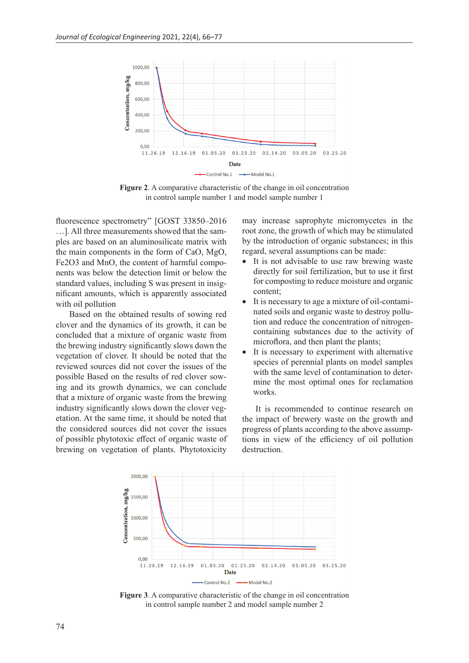

**Figure 2**. A comparative characteristic of the change in oil concentration in control sample number 1 and model sample number 1

fluorescence spectrometry" [GOST 33850–2016 …]. All three measurements showed that the samples are based on an aluminosilicate matrix with the main components in the form of CaO, MgO, Fe2O3 and MnO, the content of harmful components was below the detection limit or below the standard values, including S was present in insignificant amounts, which is apparently associated with oil pollution

Based on the obtained results of sowing red clover and the dynamics of its growth, it can be concluded that a mixture of organic waste from the brewing industry significantly slows down the vegetation of clover. It should be noted that the reviewed sources did not cover the issues of the possible Based on the results of red clover sowing and its growth dynamics, we can conclude that a mixture of organic waste from the brewing industry significantly slows down the clover vegetation. At the same time, it should be noted that the considered sources did not cover the issues of possible phytotoxic effect of organic waste of brewing on vegetation of plants. Phytotoxicity

may increase saprophyte micromycetes in the root zone, the growth of which may be stimulated by the introduction of organic substances; in this regard, several assumptions can be made:

- It is not advisable to use raw brewing waste directly for soil fertilization, but to use it first for composting to reduce moisture and organic content;
- It is necessary to age a mixture of oil-contaminated soils and organic waste to destroy pollution and reduce the concentration of nitrogencontaining substances due to the activity of microflora, and then plant the plants;
- It is necessary to experiment with alternative species of perennial plants on model samples with the same level of contamination to determine the most optimal ones for reclamation works.

It is recommended to continue research on the impact of brewery waste on the growth and progress of plants according to the above assumptions in view of the efficiency of oil pollution destruction.



**Figure 3**. A comparative characteristic of the change in oil concentration in control sample number 2 and model sample number 2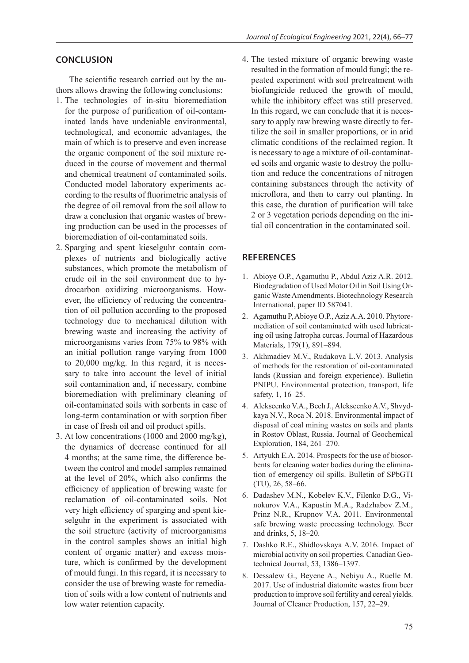## **conclusion**

The scientific research carried out by the authors allows drawing the following conclusions:

- 1. The technologies of in-situ bioremediation for the purpose of purification of oil-contaminated lands have undeniable environmental, technological, and economic advantages, the main of which is to preserve and even increase the organic component of the soil mixture reduced in the course of movement and thermal and chemical treatment of contaminated soils. Conducted model laboratory experiments according to the results of fluorimetric analysis of the degree of oil removal from the soil allow to draw a conclusion that organic wastes of brewing production can be used in the processes of bioremediation of oil-contaminated soils.
- 2. Sparging and spent kieselguhr contain complexes of nutrients and biologically active substances, which promote the metabolism of crude oil in the soil environment due to hydrocarbon oxidizing microorganisms. However, the efficiency of reducing the concentration of oil pollution according to the proposed technology due to mechanical dilution with brewing waste and increasing the activity of microorganisms varies from 75% to 98% with an initial pollution range varying from 1000 to 20,000 mg/kg. In this regard, it is necessary to take into account the level of initial soil contamination and, if necessary, combine bioremediation with preliminary cleaning of oil-contaminated soils with sorbents in case of long-term contamination or with sorption fiber in case of fresh oil and oil product spills.
- 3. At low concentrations (1000 and 2000 mg/kg), the dynamics of decrease continued for all 4 months; at the same time, the difference between the control and model samples remained at the level of 20%, which also confirms the efficiency of application of brewing waste for reclamation of oil-contaminated soils. Not very high efficiency of sparging and spent kieselguhr in the experiment is associated with the soil structure (activity of microorganisms in the control samples shows an initial high content of organic matter) and excess moisture, which is confirmed by the development of mould fungi. In this regard, it is necessary to consider the use of brewing waste for remediation of soils with a low content of nutrients and low water retention capacity.

4. The tested mixture of organic brewing waste resulted in the formation of mould fungi; the repeated experiment with soil pretreatment with biofungicide reduced the growth of mould, while the inhibitory effect was still preserved. In this regard, we can conclude that it is necessary to apply raw brewing waste directly to fertilize the soil in smaller proportions, or in arid climatic conditions of the reclaimed region. It is necessary to age a mixture of oil-contaminated soils and organic waste to destroy the pollution and reduce the concentrations of nitrogen containing substances through the activity of microflora, and then to carry out planting. In this case, the duration of purification will take 2 or 3 vegetation periods depending on the initial oil concentration in the contaminated soil.

#### **references**

- 1. Abioye O.P., Agamuthu P., Abdul Aziz A.R. 2012. Biodegradation of Used Motor Oil in Soil Using Organic Waste Amendments. Biotechnology Research International, paper ID 587041.
- 2. Agamuthu P, Abioye O.P., Aziz A.A. 2010. Phytoremediation of soil contaminated with used lubricating oil using Jatropha curcas. Journal of Hazardous Materials, 179(1), 891–894.
- 3. Akhmadiev M.V., Rudakova L.V. 2013. Analysis of methods for the restoration of oil-contaminated lands (Russian and foreign experience). Bulletin PNIPU. Environmental protection, transport, life safety, 1, 16–25.
- 4. Alekseenko V.A., Bech J., Alekseenko A.V., Shvydkaya N.V., Roca N. 2018. Environmental impact of disposal of coal mining wastes on soils and plants in Rostov Oblast, Russia. Journal of Geochemical Exploration, 184, 261–270.
- 5. Artyukh E.A. 2014. Prospects for the use of biosorbents for cleaning water bodies during the elimination of emergency oil spills. Bulletin of SPbGTI (TU), 26, 58–66.
- 6. Dadashev M.N., Kobelev K.V., Filenko D.G., Vinokurov V.A., Kapustin M.A., Radzhabov Z.M., Prinz N.R., Krupnov V.A. 2011. Environmental safe brewing waste processing technology. Beer and drinks, 5, 18–20.
- 7. Dashko R.E., Shidlovskaya A.V. 2016. Impact of microbial activity on soil properties. Canadian Geotechnical Journal, 53, 1386–1397.
- 8. Dessalew G., Beyene A., Nebiyu A., Ruelle M. 2017. Use of industrial diatomite wastes from beer production to improve soil fertility and cereal yields. Journal of Cleaner Production, 157, 22–29.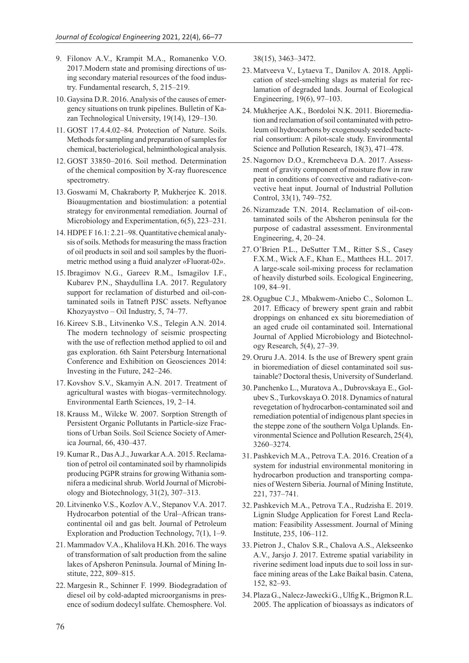- 9. Filonov A.V., Krampit M.A., Romanenko V.O. 2017.Modern state and promising directions of using secondary material resources of the food industry. Fundamental research, 5, 215–219.
- 10. Gaysina D.R. 2016. Analysis of the causes of emergency situations on trunk pipelines. Bulletin of Kazan Technological University, 19(14), 129–130.
- 11. GOST 17.4.4.02–84. Protection of Nature. Soils. Methods for sampling and preparation of samples for chemical, bacteriological, helminthological analysis.
- 12. GOST 33850–2016. Soil method. Determination of the chemical composition by X-ray fluorescence spectrometry.
- 13. Goswami M, Chakraborty P, Mukherjee K. 2018. Bioaugmentation and biostimulation: a potential strategy for environmental remediation. Journal of Microbiology and Experimentation, 6(5), 223–231.
- 14. HDPE F 16.1: 2.21–98. Quantitative chemical analysis of soils. Methods for measuring the mass fraction of oil products in soil and soil samples by the fluorimetric method using a fluid analyzer «Fluorat-02».
- 15.Ibragimov N.G., Gareev R.M., Ismagilov I.F., Kubarev P.N., Shaydullina I.A. 2017. Regulatory support for reclamation of disturbed and oil-contaminated soils in Tatneft PJSC assets. Neftyanoe Khozyaystvo – Oil Industry, 5, 74–77.
- 16. Kireev S.B., Litvinenko V.S., Telegin A.N. 2014. The modern technology of seismic prospecting with the use of reflection method applied to oil and gas exploration. 6th Saint Petersburg International Conference and Exhibition on Geosciences 2014: Investing in the Future, 242–246.
- 17. Kovshov S.V., Skamyin A.N. 2017. Treatment of agricultural wastes with biogas–vermitechnology. Environmental Earth Sciences, 19, 2–14.
- 18. Krauss M., Wilcke W. 2007. Sorption Strength of Persistent Organic Pollutants in Particle-size Fractions of Urban Soils. Soil Science Society of America Journal, 66, 430–437.
- 19. Kumar R., Das A.J., Juwarkar A.A. 2015. Reclamation of petrol oil contaminated soil by rhamnolipids producing PGPR strains for growing Withania somnifera a medicinal shrub. World Journal of Microbiology and Biotechnology, 31(2), 307–313.
- 20. Litvinenko V.S., Kozlov A.V., Stepanov V.A. 2017. Hydrocarbon potential of the Ural–African transcontinental oil and gas belt. Journal of Petroleum Exploration and Production Technology, 7(1), 1–9.
- 21. Mammadov V.A., Khalilova H.Kh. 2016. The ways of transformation of salt production from the saline lakes of Apsheron Peninsula. Journal of Mining Institute, 222, 809–815.
- 22. Margesin R., Schinner F. 1999. Biodegradation of diesel oil by cold-adapted microorganisms in presence of sodium dodecyl sulfate. Chemosphere. Vol.

38(15), 3463–3472.

- 23. Matveeva V., Lytaeva T., Danilov A. 2018. Application of steel-smelting slags as material for reclamation of degraded lands. Journal of Ecological Engineering, 19(6), 97–103.
- 24. Mukherjee A.K., Bordoloi N.K. 2011. Bioremediation and reclamation of soil contaminated with petroleum oil hydrocarbons by exogenously seeded bacterial consortium: A pilot-scale study. Environmental Science and Pollution Research, 18(3), 471–478.
- 25. Nagornov D.O., Kremcheeva D.A. 2017. Assessment of gravity component of moisture flow in raw peat in conditions of convective and radiative-convective heat input. Journal of Industrial Pollution Control, 33(1), 749–752.
- 26. Nizamzade T.N. 2014. Reclamation of oil-contaminated soils of the Absheron peninsula for the purpose of cadastral assessment. Environmental Engineering, 4, 20–24.
- 27. O'Brien P.L., DeSutter T.M., Ritter S.S., Casey F.X.M., Wick A.F., Khan E., Matthees H.L. 2017. A large-scale soil-mixing process for reclamation of heavily disturbed soils. Ecological Engineering, 109, 84–91.
- 28. Ogugbue C.J., Mbakwem-Aniebo C., Solomon L. 2017. Efficacy of brewery spent grain and rabbit droppings on enhanced ex situ bioremediation of an aged crude oil contaminated soil. International Journal of Applied Microbiology and Biotechnology Research, 5(4), 27–39.
- 29. Oruru J.A. 2014. Is the use of Brewery spent grain in bioremediation of diesel contaminated soil sustainable? Doctoral thesis, University of Sunderland.
- 30. Panchenko L., Muratova A., Dubrovskaya E., Golubev S., Turkovskaya O. 2018. Dynamics of natural revegetation of hydrocarbon-contaminated soil and remediation potential of indigenous plant species in the steppe zone of the southern Volga Uplands. Environmental Science and Pollution Research, 25(4), 3260–3274.
- 31. Pashkevich M.A., Petrova T.A. 2016. Creation of a system for industrial environmental monitoring in hydrocarbon production and transporting companies of Western Siberia. Journal of Mining Institute, 221, 737–741.
- 32. Pashkevich M.A., Petrova T.A., Rudzisha E. 2019. Lignin Sludge Application for Forest Land Reclamation: Feasibility Assessment. Journal of Mining Institute, 235, 106–112.
- 33. Pietron J., Chalov S.R., Chalova A.S., Alekseenko A.V., Jarsjo J. 2017. Extreme spatial variability in riverine sediment load inputs due to soil loss in surface mining areas of the Lake Baikal basin. Catena, 152, 82–93.
- 34. Plaza G., Nalecz-Jawecki G., Ulfig K., Brigmon R.L. 2005. The application of bioassays as indicators of